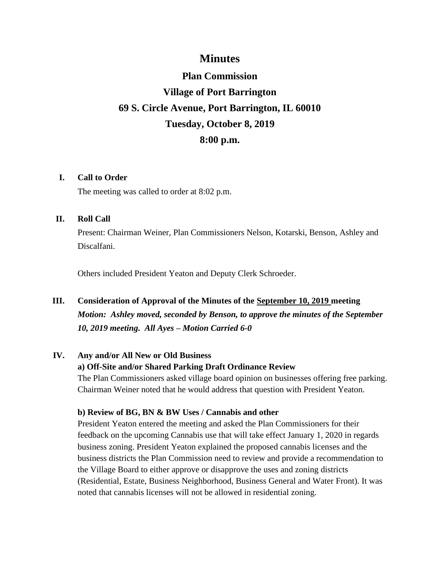# **Minutes**

# **Plan Commission Village of Port Barrington 69 S. Circle Avenue, Port Barrington, IL 60010 Tuesday, October 8, 2019 8:00 p.m.**

### **I. Call to Order**

The meeting was called to order at 8:02 p.m.

#### **II. Roll Call**

Present: Chairman Weiner, Plan Commissioners Nelson, Kotarski, Benson, Ashley and Discalfani.

Others included President Yeaton and Deputy Clerk Schroeder.

# **III. Consideration of Approval of the Minutes of the September 10, 2019 meeting** *Motion: Ashley moved, seconded by Benson, to approve the minutes of the September 10, 2019 meeting. All Ayes – Motion Carried 6-0*

## **IV. Any and/or All New or Old Business**

#### **a) Off-Site and/or Shared Parking Draft Ordinance Review**

The Plan Commissioners asked village board opinion on businesses offering free parking. Chairman Weiner noted that he would address that question with President Yeaton.

#### **b) Review of BG, BN & BW Uses / Cannabis and other**

President Yeaton entered the meeting and asked the Plan Commissioners for their feedback on the upcoming Cannabis use that will take effect January 1, 2020 in regards business zoning. President Yeaton explained the proposed cannabis licenses and the business districts the Plan Commission need to review and provide a recommendation to the Village Board to either approve or disapprove the uses and zoning districts (Residential, Estate, Business Neighborhood, Business General and Water Front). It was noted that cannabis licenses will not be allowed in residential zoning.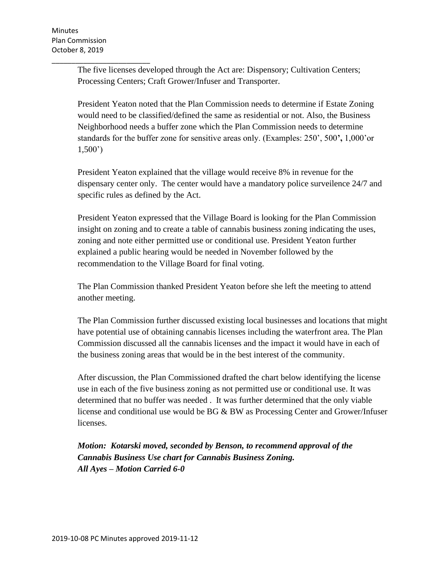\_\_\_\_\_\_\_\_\_\_\_\_\_\_\_\_\_\_\_\_\_\_\_\_\_ The five licenses developed through the Act are: Dispensory; Cultivation Centers; Processing Centers; Craft Grower/Infuser and Transporter.

President Yeaton noted that the Plan Commission needs to determine if Estate Zoning would need to be classified/defined the same as residential or not. Also, the Business Neighborhood needs a buffer zone which the Plan Commission needs to determine standards for the buffer zone for sensitive areas only. (Examples: 250', 500**',** 1,000'or 1,500')

President Yeaton explained that the village would receive 8% in revenue for the dispensary center only. The center would have a mandatory police surveilence 24/7 and specific rules as defined by the Act.

President Yeaton expressed that the Village Board is looking for the Plan Commission insight on zoning and to create a table of cannabis business zoning indicating the uses, zoning and note either permitted use or conditional use. President Yeaton further explained a public hearing would be needed in November followed by the recommendation to the Village Board for final voting.

The Plan Commission thanked President Yeaton before she left the meeting to attend another meeting.

The Plan Commission further discussed existing local businesses and locations that might have potential use of obtaining cannabis licenses including the waterfront area. The Plan Commission discussed all the cannabis licenses and the impact it would have in each of the business zoning areas that would be in the best interest of the community.

After discussion, the Plan Commissioned drafted the chart below identifying the license use in each of the five business zoning as not permitted use or conditional use. It was determined that no buffer was needed . It was further determined that the only viable license and conditional use would be  $BG & BW$  as Processing Center and Grower/Infuser licenses.

*Motion: Kotarski moved, seconded by Benson, to recommend approval of the Cannabis Business Use chart for Cannabis Business Zoning. All Ayes – Motion Carried 6-0*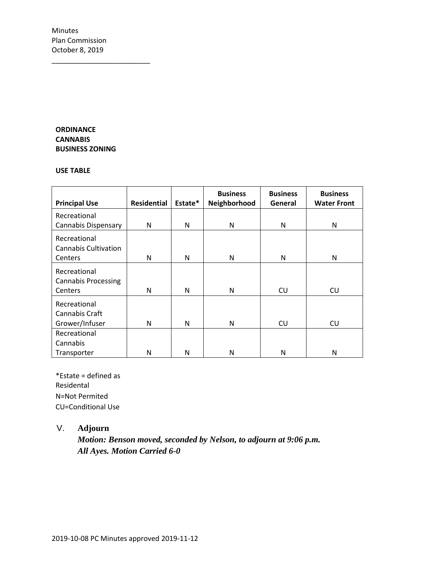\_\_\_\_\_\_\_\_\_\_\_\_\_\_\_\_\_\_\_\_\_\_\_\_\_

#### **ORDINANCE CANNABIS BUSINESS ZONING**

#### **USE TABLE**

|                             |                    |         | <b>Business</b> | <b>Business</b> | <b>Business</b>    |
|-----------------------------|--------------------|---------|-----------------|-----------------|--------------------|
| <b>Principal Use</b>        | <b>Residential</b> | Estate* | Neighborhood    | General         | <b>Water Front</b> |
| Recreational                |                    |         |                 |                 |                    |
| <b>Cannabis Dispensary</b>  | N                  | N       | N               | N               | N                  |
| Recreational                |                    |         |                 |                 |                    |
| <b>Cannabis Cultivation</b> |                    |         |                 |                 |                    |
| Centers                     | N                  | N       | N               | N               | N                  |
| Recreational                |                    |         |                 |                 |                    |
| <b>Cannabis Processing</b>  |                    |         |                 |                 |                    |
| Centers                     | N                  | N       | N               | <b>CU</b>       | CU                 |
| Recreational                |                    |         |                 |                 |                    |
| Cannabis Craft              |                    |         |                 |                 |                    |
| Grower/Infuser              | N                  | N       | N               | <b>CU</b>       | <b>CU</b>          |
| Recreational                |                    |         |                 |                 |                    |
| Cannabis                    |                    |         |                 |                 |                    |
| Transporter                 | N                  | N       | N               | N               | N                  |

\*Estate = defined as Residental N=Not Permited CU=Conditional Use

## V. **Adjourn**

*Motion: Benson moved, seconded by Nelson, to adjourn at 9:06 p.m. All Ayes. Motion Carried 6-0*